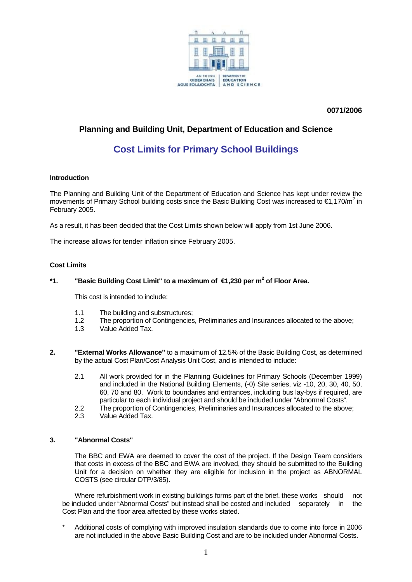

 **0071/2006** 

# **Planning and Building Unit, Department of Education and Science**

# **Cost Limits for Primary School Buildings**

#### **Introduction**

The Planning and Building Unit of the Department of Education and Science has kept under review the movements of Primary School building costs since the Basic Building Cost was increased to €1,170/m<sup>2</sup> in February 2005.

As a result, it has been decided that the Cost Limits shown below will apply from 1st June 2006.

The increase allows for tender inflation since February 2005.

#### **Cost Limits**

## \*1. TBasic Building Cost Limit" to a maximum of €1,230 per m<sup>2</sup> of Floor Area.

This cost is intended to include:

- 1.1 The building and substructures;
- 1.2 The proportion of Contingencies, Preliminaries and Insurances allocated to the above;<br>1.3 Value Added Tax
- Value Added Tax.
- **2. "External Works Allowance"** to a maximum of 12.5% of the Basic Building Cost, as determined by the actual Cost Plan/Cost Analysis Unit Cost, and is intended to include:
	- 2.1 All work provided for in the Planning Guidelines for Primary Schools (December 1999) and included in the National Building Elements, (-0) Site series, viz -10, 20, 30, 40, 50, 60, 70 and 80. Work to boundaries and entrances, including bus lay-bys if required, are particular to each individual project and should be included under "Abnormal Costs".
	- 2.2 The proportion of Contingencies, Preliminaries and Insurances allocated to the above;
	- 2.3 Value Added Tax.

#### **3. "Abnormal Costs"**

The BBC and EWA are deemed to cover the cost of the project. If the Design Team considers that costs in excess of the BBC and EWA are involved, they should be submitted to the Building Unit for a decision on whether they are eligible for inclusion in the project as ABNORMAL COSTS (see circular DTP/3/85).

Where refurbishment work in existing buildings forms part of the brief, these works should not be included under "Abnormal Costs" but instead shall be costed and included separately in the Cost Plan and the floor area affected by these works stated.

Additional costs of complying with improved insulation standards due to come into force in 2006 are not included in the above Basic Building Cost and are to be included under Abnormal Costs.